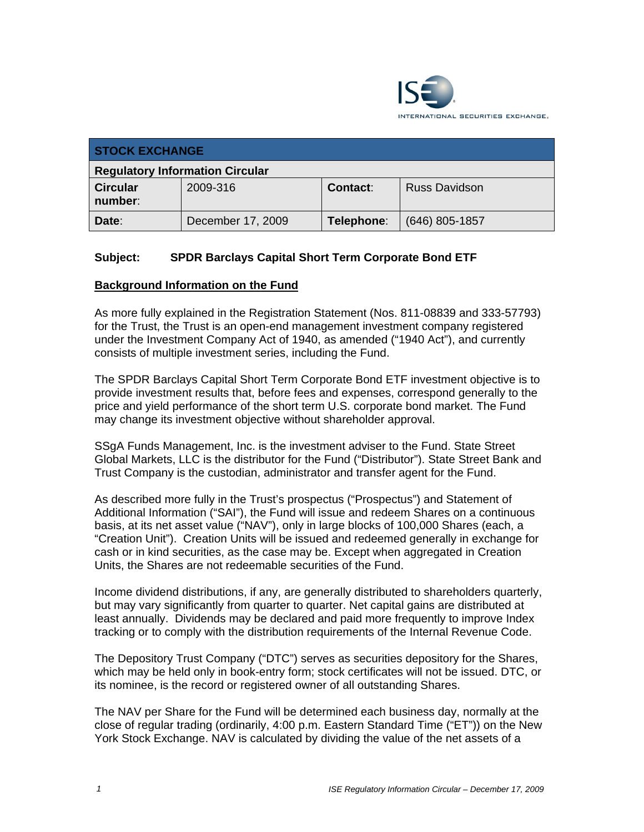

| <b>STOCK EXCHANGE</b>                  |                   |            |                      |  |  |
|----------------------------------------|-------------------|------------|----------------------|--|--|
| <b>Regulatory Information Circular</b> |                   |            |                      |  |  |
| <b>Circular</b><br>number:             | 2009-316          | Contact:   | <b>Russ Davidson</b> |  |  |
| Date:                                  | December 17, 2009 | Telephone: | $(646)$ 805-1857     |  |  |

## **Subject: SPDR Barclays Capital Short Term Corporate Bond ETF**

#### **Background Information on the Fund**

As more fully explained in the Registration Statement (Nos. 811-08839 and 333-57793) for the Trust, the Trust is an open-end management investment company registered under the Investment Company Act of 1940, as amended ("1940 Act"), and currently consists of multiple investment series, including the Fund.

The SPDR Barclays Capital Short Term Corporate Bond ETF investment objective is to provide investment results that, before fees and expenses, correspond generally to the price and yield performance of the short term U.S. corporate bond market. The Fund may change its investment objective without shareholder approval.

SSgA Funds Management, Inc. is the investment adviser to the Fund. State Street Global Markets, LLC is the distributor for the Fund ("Distributor"). State Street Bank and Trust Company is the custodian, administrator and transfer agent for the Fund.

As described more fully in the Trust's prospectus ("Prospectus") and Statement of Additional Information ("SAI"), the Fund will issue and redeem Shares on a continuous basis, at its net asset value ("NAV"), only in large blocks of 100,000 Shares (each, a "Creation Unit"). Creation Units will be issued and redeemed generally in exchange for cash or in kind securities, as the case may be. Except when aggregated in Creation Units, the Shares are not redeemable securities of the Fund.

Income dividend distributions, if any, are generally distributed to shareholders quarterly, but may vary significantly from quarter to quarter. Net capital gains are distributed at least annually. Dividends may be declared and paid more frequently to improve Index tracking or to comply with the distribution requirements of the Internal Revenue Code.

The Depository Trust Company ("DTC") serves as securities depository for the Shares, which may be held only in book-entry form; stock certificates will not be issued. DTC, or its nominee, is the record or registered owner of all outstanding Shares.

The NAV per Share for the Fund will be determined each business day, normally at the close of regular trading (ordinarily, 4:00 p.m. Eastern Standard Time ("ET")) on the New York Stock Exchange. NAV is calculated by dividing the value of the net assets of a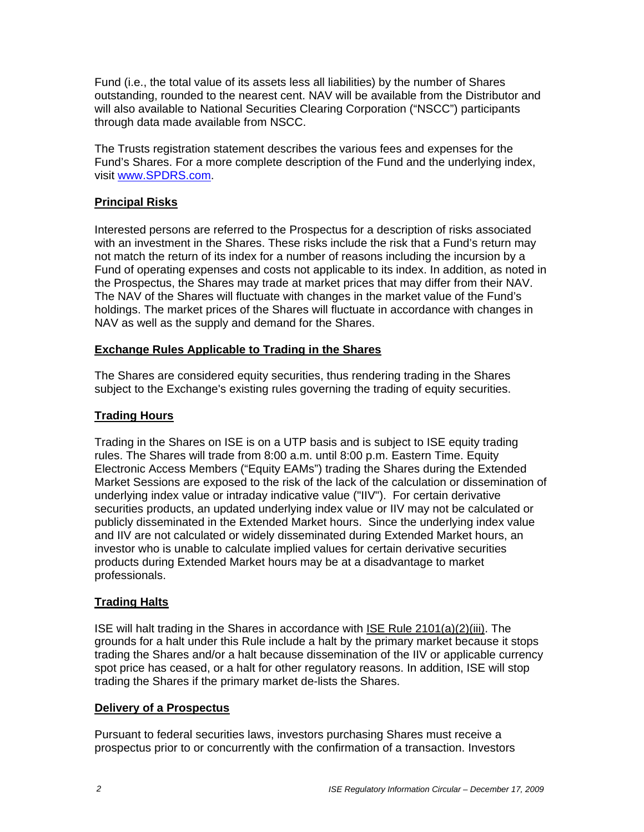Fund (i.e., the total value of its assets less all liabilities) by the number of Shares outstanding, rounded to the nearest cent. NAV will be available from the Distributor and will also available to National Securities Clearing Corporation ("NSCC") participants through data made available from NSCC.

The Trusts registration statement describes the various fees and expenses for the Fund's Shares. For a more complete description of the Fund and the underlying index, visit www.SPDRS.com.

# **Principal Risks**

Interested persons are referred to the Prospectus for a description of risks associated with an investment in the Shares. These risks include the risk that a Fund's return may not match the return of its index for a number of reasons including the incursion by a Fund of operating expenses and costs not applicable to its index. In addition, as noted in the Prospectus, the Shares may trade at market prices that may differ from their NAV. The NAV of the Shares will fluctuate with changes in the market value of the Fund's holdings. The market prices of the Shares will fluctuate in accordance with changes in NAV as well as the supply and demand for the Shares.

### **Exchange Rules Applicable to Trading in the Shares**

The Shares are considered equity securities, thus rendering trading in the Shares subject to the Exchange's existing rules governing the trading of equity securities.

# **Trading Hours**

Trading in the Shares on ISE is on a UTP basis and is subject to ISE equity trading rules. The Shares will trade from 8:00 a.m. until 8:00 p.m. Eastern Time. Equity Electronic Access Members ("Equity EAMs") trading the Shares during the Extended Market Sessions are exposed to the risk of the lack of the calculation or dissemination of underlying index value or intraday indicative value ("IIV"). For certain derivative securities products, an updated underlying index value or IIV may not be calculated or publicly disseminated in the Extended Market hours. Since the underlying index value and IIV are not calculated or widely disseminated during Extended Market hours, an investor who is unable to calculate implied values for certain derivative securities products during Extended Market hours may be at a disadvantage to market professionals.

### **Trading Halts**

ISE will halt trading in the Shares in accordance with ISE Rule 2101(a)(2)(iii). The grounds for a halt under this Rule include a halt by the primary market because it stops trading the Shares and/or a halt because dissemination of the IIV or applicable currency spot price has ceased, or a halt for other regulatory reasons. In addition, ISE will stop trading the Shares if the primary market de-lists the Shares.

### **Delivery of a Prospectus**

Pursuant to federal securities laws, investors purchasing Shares must receive a prospectus prior to or concurrently with the confirmation of a transaction. Investors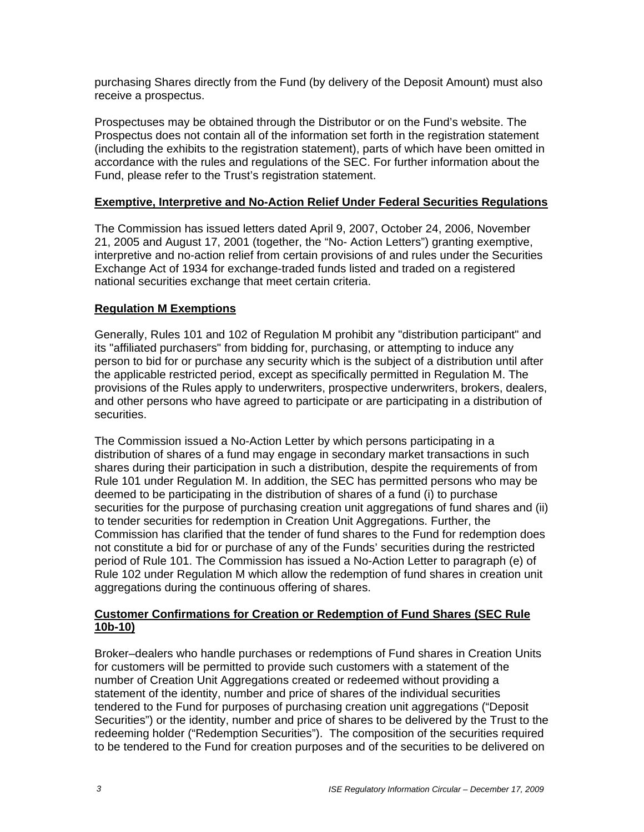purchasing Shares directly from the Fund (by delivery of the Deposit Amount) must also receive a prospectus.

Prospectuses may be obtained through the Distributor or on the Fund's website. The Prospectus does not contain all of the information set forth in the registration statement (including the exhibits to the registration statement), parts of which have been omitted in accordance with the rules and regulations of the SEC. For further information about the Fund, please refer to the Trust's registration statement.

## **Exemptive, Interpretive and No-Action Relief Under Federal Securities Regulations**

The Commission has issued letters dated April 9, 2007, October 24, 2006, November 21, 2005 and August 17, 2001 (together, the "No- Action Letters") granting exemptive, interpretive and no-action relief from certain provisions of and rules under the Securities Exchange Act of 1934 for exchange-traded funds listed and traded on a registered national securities exchange that meet certain criteria.

## **Regulation M Exemptions**

Generally, Rules 101 and 102 of Regulation M prohibit any "distribution participant" and its "affiliated purchasers" from bidding for, purchasing, or attempting to induce any person to bid for or purchase any security which is the subject of a distribution until after the applicable restricted period, except as specifically permitted in Regulation M. The provisions of the Rules apply to underwriters, prospective underwriters, brokers, dealers, and other persons who have agreed to participate or are participating in a distribution of securities.

The Commission issued a No-Action Letter by which persons participating in a distribution of shares of a fund may engage in secondary market transactions in such shares during their participation in such a distribution, despite the requirements of from Rule 101 under Regulation M. In addition, the SEC has permitted persons who may be deemed to be participating in the distribution of shares of a fund (i) to purchase securities for the purpose of purchasing creation unit aggregations of fund shares and (ii) to tender securities for redemption in Creation Unit Aggregations. Further, the Commission has clarified that the tender of fund shares to the Fund for redemption does not constitute a bid for or purchase of any of the Funds' securities during the restricted period of Rule 101. The Commission has issued a No-Action Letter to paragraph (e) of Rule 102 under Regulation M which allow the redemption of fund shares in creation unit aggregations during the continuous offering of shares.

## **Customer Confirmations for Creation or Redemption of Fund Shares (SEC Rule 10b-10)**

Broker–dealers who handle purchases or redemptions of Fund shares in Creation Units for customers will be permitted to provide such customers with a statement of the number of Creation Unit Aggregations created or redeemed without providing a statement of the identity, number and price of shares of the individual securities tendered to the Fund for purposes of purchasing creation unit aggregations ("Deposit Securities") or the identity, number and price of shares to be delivered by the Trust to the redeeming holder ("Redemption Securities"). The composition of the securities required to be tendered to the Fund for creation purposes and of the securities to be delivered on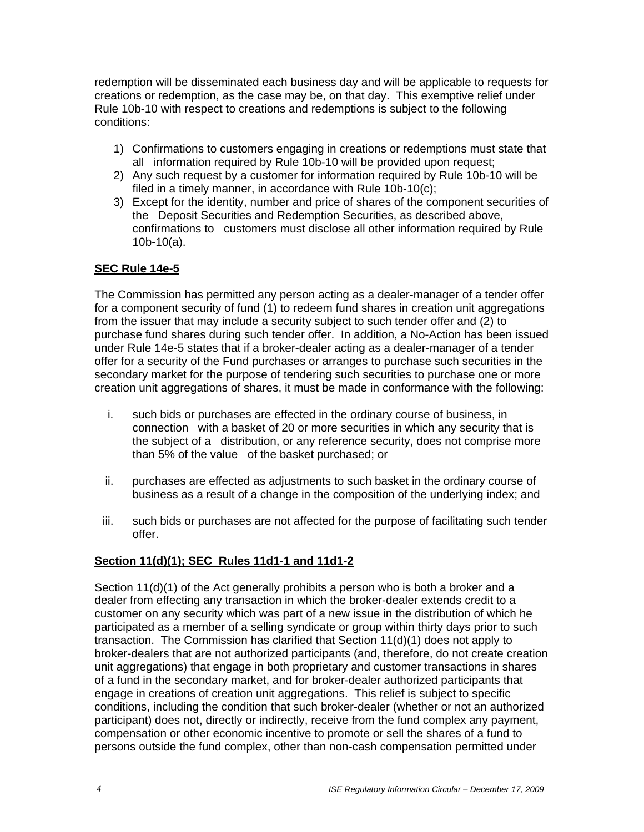redemption will be disseminated each business day and will be applicable to requests for creations or redemption, as the case may be, on that day. This exemptive relief under Rule 10b-10 with respect to creations and redemptions is subject to the following conditions:

- 1) Confirmations to customers engaging in creations or redemptions must state that all information required by Rule 10b-10 will be provided upon request;
- 2) Any such request by a customer for information required by Rule 10b-10 will be filed in a timely manner, in accordance with Rule 10b-10(c);
- 3) Except for the identity, number and price of shares of the component securities of the Deposit Securities and Redemption Securities, as described above, confirmations to customers must disclose all other information required by Rule 10b-10(a).

### **SEC Rule 14e-5**

The Commission has permitted any person acting as a dealer-manager of a tender offer for a component security of fund (1) to redeem fund shares in creation unit aggregations from the issuer that may include a security subject to such tender offer and (2) to purchase fund shares during such tender offer. In addition, a No-Action has been issued under Rule 14e-5 states that if a broker-dealer acting as a dealer-manager of a tender offer for a security of the Fund purchases or arranges to purchase such securities in the secondary market for the purpose of tendering such securities to purchase one or more creation unit aggregations of shares, it must be made in conformance with the following:

- i. such bids or purchases are effected in the ordinary course of business, in connection with a basket of 20 or more securities in which any security that is the subject of a distribution, or any reference security, does not comprise more than 5% of the value of the basket purchased; or
- ii. purchases are effected as adjustments to such basket in the ordinary course of business as a result of a change in the composition of the underlying index; and
- iii. such bids or purchases are not affected for the purpose of facilitating such tender offer.

### **Section 11(d)(1); SEC Rules 11d1-1 and 11d1-2**

Section 11(d)(1) of the Act generally prohibits a person who is both a broker and a dealer from effecting any transaction in which the broker-dealer extends credit to a customer on any security which was part of a new issue in the distribution of which he participated as a member of a selling syndicate or group within thirty days prior to such transaction. The Commission has clarified that Section 11(d)(1) does not apply to broker-dealers that are not authorized participants (and, therefore, do not create creation unit aggregations) that engage in both proprietary and customer transactions in shares of a fund in the secondary market, and for broker-dealer authorized participants that engage in creations of creation unit aggregations. This relief is subject to specific conditions, including the condition that such broker-dealer (whether or not an authorized participant) does not, directly or indirectly, receive from the fund complex any payment, compensation or other economic incentive to promote or sell the shares of a fund to persons outside the fund complex, other than non-cash compensation permitted under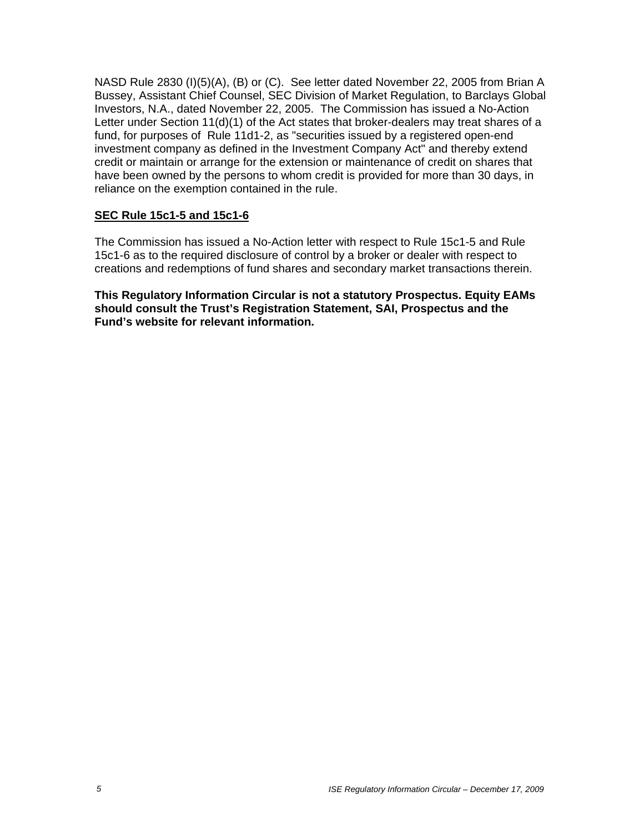NASD Rule 2830 (I)(5)(A), (B) or (C). See letter dated November 22, 2005 from Brian A Bussey, Assistant Chief Counsel, SEC Division of Market Regulation, to Barclays Global Investors, N.A., dated November 22, 2005. The Commission has issued a No-Action Letter under Section 11(d)(1) of the Act states that broker-dealers may treat shares of a fund, for purposes of Rule 11d1-2, as "securities issued by a registered open-end investment company as defined in the Investment Company Act" and thereby extend credit or maintain or arrange for the extension or maintenance of credit on shares that have been owned by the persons to whom credit is provided for more than 30 days, in reliance on the exemption contained in the rule.

#### **SEC Rule 15c1-5 and 15c1-6**

The Commission has issued a No-Action letter with respect to Rule 15c1-5 and Rule 15c1-6 as to the required disclosure of control by a broker or dealer with respect to creations and redemptions of fund shares and secondary market transactions therein.

**This Regulatory Information Circular is not a statutory Prospectus. Equity EAMs should consult the Trust's Registration Statement, SAI, Prospectus and the Fund's website for relevant information.**